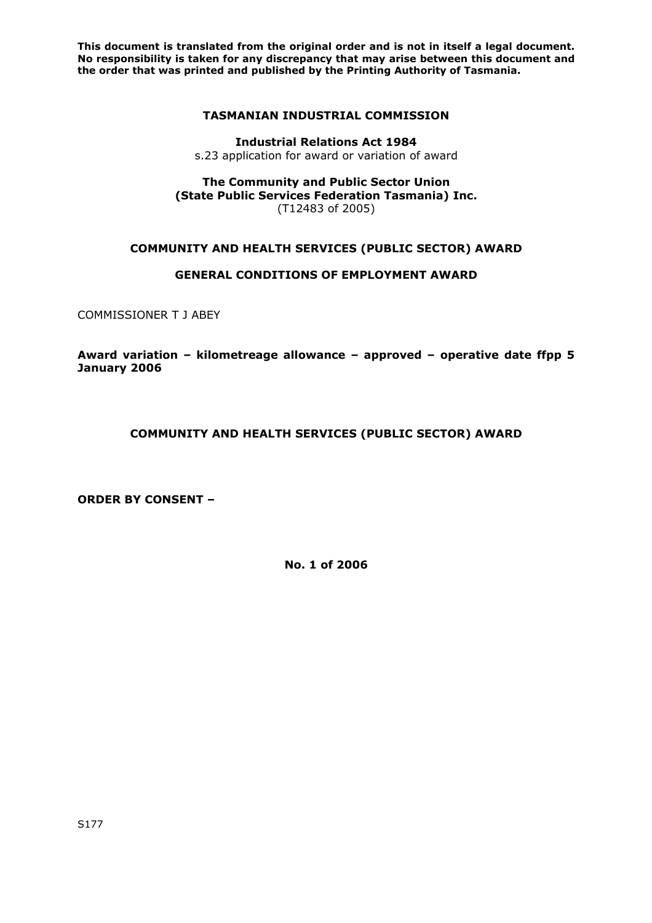## **TASMANIAN INDUSTRIAL COMMISSION**

**Industrial Relations Act 1984**  s.23 application for award or variation of award

**The Community and Public Sector Union (State Public Services Federation Tasmania) Inc.** (T12483 of 2005)

# **COMMUNITY AND HEALTH SERVICES (PUBLIC SECTOR) AWARD**

# **GENERAL CONDITIONS OF EMPLOYMENT AWARD**

COMMISSIONER T J ABEY

**Award variation – kilometreage allowance – approved – operative date ffpp 5 January 2006** 

**COMMUNITY AND HEALTH SERVICES (PUBLIC SECTOR) AWARD** 

**ORDER BY CONSENT –** 

**No. 1 of 2006**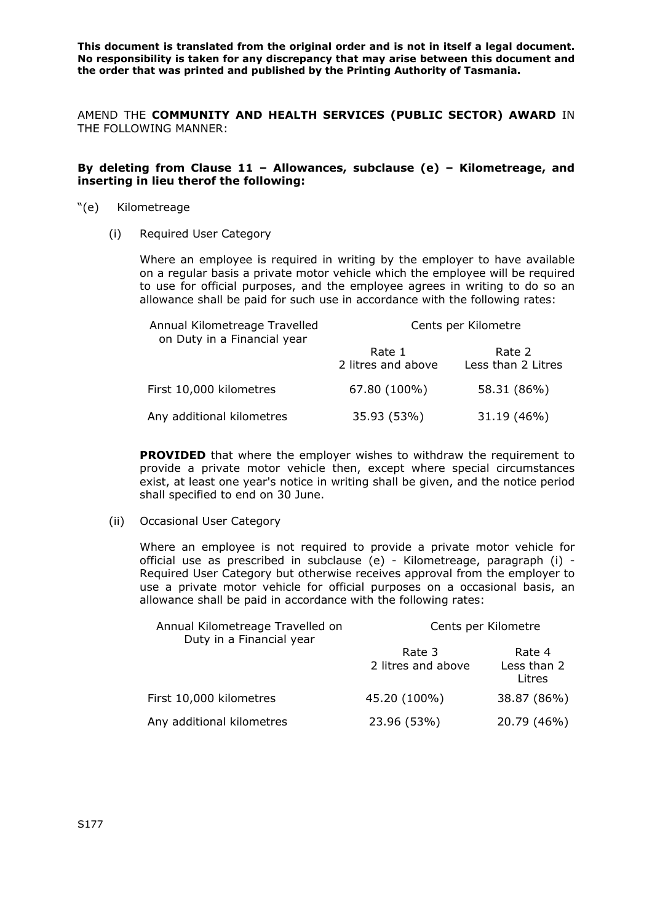AMEND THE **COMMUNITY AND HEALTH SERVICES (PUBLIC SECTOR) AWARD** IN THE FOLLOWING MANNER:

#### **By deleting from Clause 11 – Allowances, subclause (e) – Kilometreage, and inserting in lieu therof the following:**

- "(e) Kilometreage
	- (i) Required User Category

Where an employee is required in writing by the employer to have available on a regular basis a private motor vehicle which the employee will be required to use for official purposes, and the employee agrees in writing to do so an allowance shall be paid for such use in accordance with the following rates:

| Annual Kilometreage Travelled<br>on Duty in a Financial year | Cents per Kilometre          |                              |
|--------------------------------------------------------------|------------------------------|------------------------------|
|                                                              | Rate 1<br>2 litres and above | Rate 2<br>Less than 2 Litres |
| First 10,000 kilometres                                      | 67.80 (100%)                 | 58.31 (86%)                  |
| Any additional kilometres                                    | 35.93 (53%)                  | 31.19 (46%)                  |

**PROVIDED** that where the employer wishes to withdraw the requirement to provide a private motor vehicle then, except where special circumstances exist, at least one year's notice in writing shall be given, and the notice period shall specified to end on 30 June.

(ii) Occasional User Category

Where an employee is not required to provide a private motor vehicle for official use as prescribed in subclause (e) - Kilometreage, paragraph (i) - Required User Category but otherwise receives approval from the employer to use a private motor vehicle for official purposes on a occasional basis, an allowance shall be paid in accordance with the following rates:

| Annual Kilometreage Travelled on<br>Duty in a Financial year | Cents per Kilometre          |                                 |
|--------------------------------------------------------------|------------------------------|---------------------------------|
|                                                              | Rate 3<br>2 litres and above | Rate 4<br>Less than 2<br>Litres |
| First 10,000 kilometres                                      | 45.20 (100%)                 | 38.87 (86%)                     |
| Any additional kilometres                                    | 23.96 (53%)                  | 20.79 (46%)                     |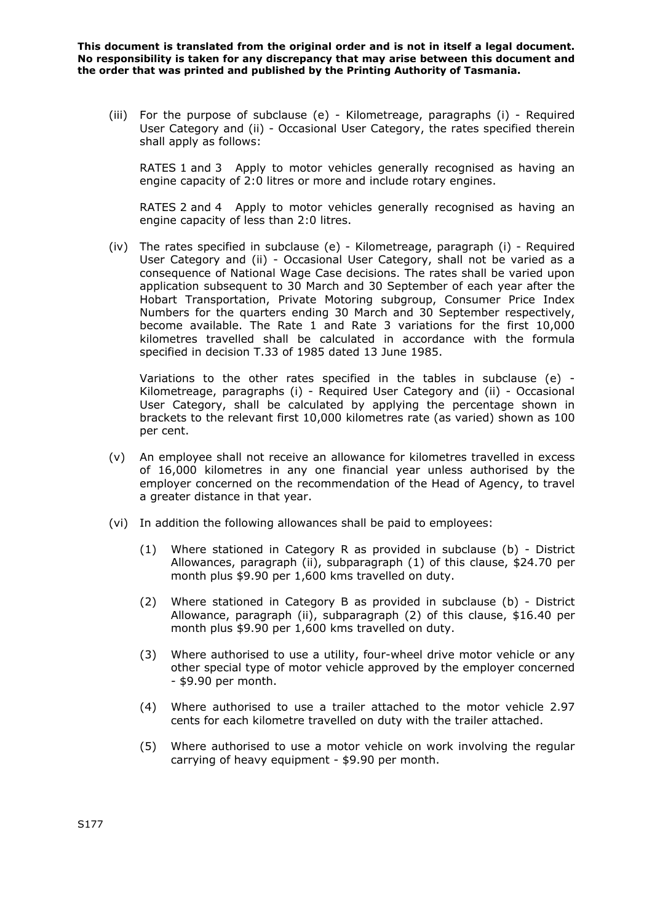(iii) For the purpose of subclause (e) - Kilometreage, paragraphs (i) - Required User Category and (ii) - Occasional User Category, the rates specified therein shall apply as follows:

RATES 1 and 3 Apply to motor vehicles generally recognised as having an engine capacity of 2:0 litres or more and include rotary engines.

RATES 2 and 4 Apply to motor vehicles generally recognised as having an engine capacity of less than 2:0 litres.

(iv) The rates specified in subclause (e) - Kilometreage, paragraph (i) - Required User Category and (ii) - Occasional User Category, shall not be varied as a consequence of National Wage Case decisions. The rates shall be varied upon application subsequent to 30 March and 30 September of each year after the Hobart Transportation, Private Motoring subgroup, Consumer Price Index Numbers for the quarters ending 30 March and 30 September respectively, become available. The Rate 1 and Rate 3 variations for the first 10,000 kilometres travelled shall be calculated in accordance with the formula specified in decision T.33 of 1985 dated 13 June 1985.

Variations to the other rates specified in the tables in subclause (e) - Kilometreage, paragraphs (i) - Required User Category and (ii) - Occasional User Category, shall be calculated by applying the percentage shown in brackets to the relevant first 10,000 kilometres rate (as varied) shown as 100 per cent.

- (v) An employee shall not receive an allowance for kilometres travelled in excess of 16,000 kilometres in any one financial year unless authorised by the employer concerned on the recommendation of the Head of Agency, to travel a greater distance in that year.
- (vi) In addition the following allowances shall be paid to employees:
	- (1) Where stationed in Category R as provided in subclause (b) District Allowances, paragraph (ii), subparagraph (1) of this clause, \$24.70 per month plus \$9.90 per 1,600 kms travelled on duty.
	- (2) Where stationed in Category B as provided in subclause (b) District Allowance, paragraph (ii), subparagraph (2) of this clause, \$16.40 per month plus \$9.90 per 1,600 kms travelled on duty.
	- (3) Where authorised to use a utility, four-wheel drive motor vehicle or any other special type of motor vehicle approved by the employer concerned - \$9.90 per month.
	- (4) Where authorised to use a trailer attached to the motor vehicle 2.97 cents for each kilometre travelled on duty with the trailer attached.
	- (5) Where authorised to use a motor vehicle on work involving the regular carrying of heavy equipment - \$9.90 per month.